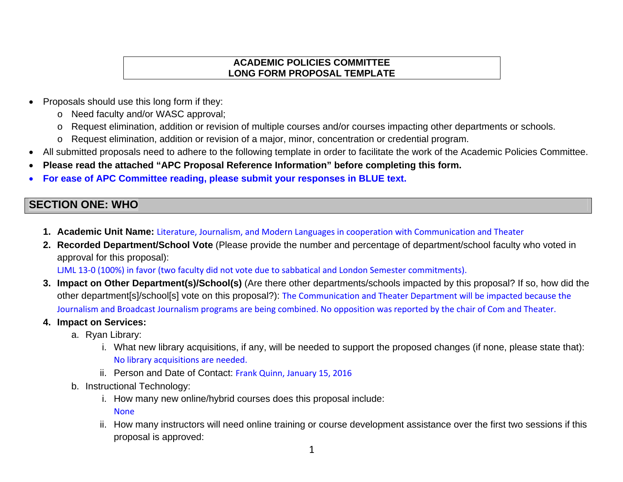## **ACADEMIC POLICIES COMMITTEE LONG FORM PROPOSAL TEMPLATE**

- Proposals should use this long form if they:
	- <sup>o</sup> Need faculty and/or WASC approval;
	- <sup>o</sup> Request elimination, addition or revision of multiple courses and/or courses impacting other departments or schools.
	- <sup>o</sup> Request elimination, addition or revision of a major, minor, concentration or credential program.
- All submitted proposals need to adhere to the following template in order to facilitate the work of the Academic Policies Committee.
- $\bullet$ **Please read the attached "APC Proposal Reference Information" before completing this form.**
- $\bullet$ **For ease of APC Committee reading, please submit your responses in BLUE text.**

# **SECTION ONE: WHO**

- **1. Academic Unit Name:** Literature, Journalism, and Modern Languages in cooperation with Communication and Theater
- **2. Recorded Department/School Vote** (Please provide the number and percentage of department/school faculty who voted in approval for this proposal):

LJML 13‐0 (100%) in favor (two faculty did not vote due to sabbatical and London Semester commitments).

- **3. Impact on Other Department(s)/School(s)** (Are there other departments/schools impacted by this proposal? If so, how did the other department[s]/school[s] vote on this proposal?): The Communication and Theater Department will be impacted because the Journalism and Broadcast Journalism programs are being combined. No opposition was reported by the chair of Com and Theater.
- **4. Impact on Services:** 
	- a. Ryan Library:
		- i. What new library acquisitions, if any, will be needed to support the proposed changes (if none, please state that): No library acquisitions are needed.
		- ii. Person and Date of Contact: Frank Quinn, January 15, 2016
	- b. Instructional Technology:
		- i. How many new online/hybrid courses does this proposal include: None
		- ii. How many instructors will need online training or course development assistance over the first two sessions if this proposal is approved: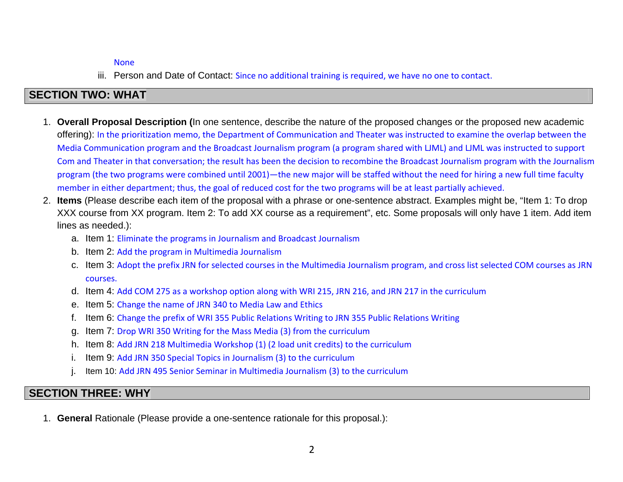#### None

iii. Person and Date of Contact: Since no additional training is required, we have no one to contact.

# **SECTION TWO: WHAT**

- 1. **Overall Proposal Description (**In one sentence, describe the nature of the proposed changes or the proposed new academic offering): In the prioritization memo, the Department of Communication and Theater was instructed to examine the overlap between the Media Communication program and the Broadcast Journalism program (a program shared with LJML) and LJML was instructed to support Com and Theater in that conversation; the result has been the decision to recombine the Broadcast Journalism program with the Journalism program (the two programs were combined until 2001)—the new major will be staffed without the need for hiring <sup>a</sup> new full time faculty member in either department; thus, the goal of reduced cost for the two programs will be at least partially achieved.
- 2. **Items** (Please describe each item of the proposal with a phrase or one-sentence abstract. Examples might be, "Item 1: To drop XXX course from XX program. Item 2: To add XX course as a requirement", etc. Some proposals will only have 1 item. Add item lines as needed.):
	- a. Item 1: Eliminate the programs in Journalism and Broadcast Journalism
	- b. Item 2: Add the program in Multimedia Journalism
	- c. Item 3: Adopt the prefix JRN for selected courses in the Multimedia Journalism program, and cross list selected COM courses as JRN courses.
	- d. Item 4: Add COM 275 as <sup>a</sup> workshop option along with WRI 215, JRN 216, and JRN 217 in the curriculum
	- e. Item 5: Change the name of JRN 340 to Media Law and Ethics
	- f. Item 6: Change the prefix of WRI 355 Public Relations Writing to JRN 355 Public Relations Writing
	- g. Item 7: Drop WRI <sup>350</sup> Writing for the Mass Media (3) from the curriculum
	- h. Item 8: Add JRN 218 Multimedia Workshop (1) (2 load unit credits) to the curriculum
	- i. Item 9: Add JRN 350 Special Topics in Journalism (3) to the curriculum
	- j. Item 10: Add JRN 495 Senior Seminar in Multimedia Journalism (3) to the curriculum

# **SECTION THREE: WHY**

1. **General** Rationale (Please provide a one-sentence rationale for this proposal.):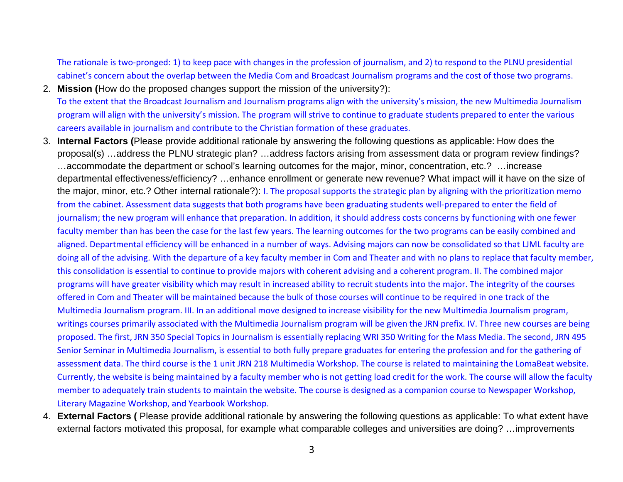The rationale is two‐pronged: 1) to keep pace with changes in the profession of journalism, and 2) to respond to the PLNU presidential cabinet's concern about the overlap between the Media Com and Broadcast Journalism programs and the cost of those two programs.

- 2. **Mission (**How do the proposed changes support the mission of the university?): To the extent that the Broadcast Journalism and Journalism programs align with the university's mission, the new Multimedia Journalism program will align with the university's mission. The program will strive to continue to graduate students prepared to enter the various careers available in journalism and contribute to the Christian formation of these graduates.
- 3. **Internal Factors (**Please provide additional rationale by answering the following questions as applicable: How does the proposal(s) …address the PLNU strategic plan? …address factors arising from assessment data or program review findings? …accommodate the department or school's learning outcomes for the major, minor, concentration, etc.? …increase departmental effectiveness/efficiency? …enhance enrollment or generate new revenue? What impact will it have on the size of the major, minor, etc.? Other internal rationale?): I. The proposal supports the strategic plan by aligning with the prioritization memo from the cabinet. Assessment data suggests that both programs have been graduating students well‐prepared to enter the field of journalism; the new program will enhance that preparation. In addition, it should address costs concerns by functioning with one fewer faculty member than has been the case for the last few years. The learning outcomes for the two programs can be easily combined and aligned. Departmental efficiency will be enhanced in <sup>a</sup> number of ways. Advising majors can now be consolidated so that LJML faculty are doing all of the advising. With the departure of <sup>a</sup> key faculty member in Com and Theater and with no plans to replace that faculty member, this consolidation is essential to continue to provide majors with coherent advising and <sup>a</sup> coherent program. II. The combined major programs will have greater visibility which may result in increased ability to recruit students into the major. The integrity of the courses offered in Com and Theater will be maintained because the bulk of those courses will continue to be required in one track of the Multimedia Journalism program. III. In an additional move designed to increase visibility for the new Multimedia Journalism program, writings courses primarily associated with the Multimedia Journalism program will be given the JRN prefix. IV. Three new courses are being proposed. The first, JRN 350 Special Topics in Journalism is essentially replacing WRI 350 Writing for the Mass Media. The second, JRN 495 Senior Seminar in Multimedia Journalism, is essential to both fully prepare graduates for entering the profession and for the gathering of assessment data. The third course is the 1 unit JRN 218 Multimedia Workshop. The course is related to maintaining the LomaBeat website. Currently, the website is being maintained by <sup>a</sup> faculty member who is not getting load credit for the work. The course will allow the faculty member to adequately train students to maintain the website. The course is designed as <sup>a</sup> companion course to Newspaper Workshop, Literary Magazine Workshop, and Yearbook Workshop.
- 4. **External Factors (** Please provide additional rationale by answering the following questions as applicable: To what extent have external factors motivated this proposal, for example what comparable colleges and universities are doing? …improvements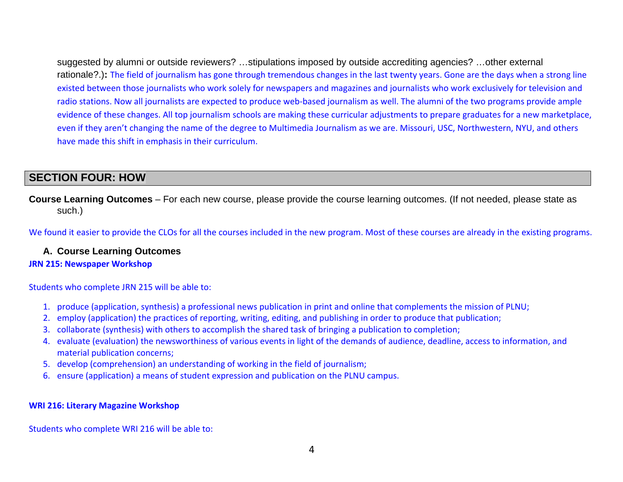suggested by alumni or outside reviewers? …stipulations imposed by outside accrediting agencies? …other external rationale?.)**:** The field of journalism has gone through tremendous changes in the last twenty years. Gone are the days when <sup>a</sup> strong line existed between those journalists who work solely for newspapers and magazines and journalists who work exclusively for television and radio stations. Now all journalists are expected to produce web‐based journalism as well. The alumni of the two programs provide ample evidence of these changes. All top journalism schools are making these curricular adjustments to prepare graduates for <sup>a</sup> new marketplace, even if they aren't changing the name of the degree to Multimedia Journalism as we are. Missouri, USC, Northwestern, NYU, and others have made this shift in emphasis in their curriculum.

# **SECTION FOUR: HOW**

**Course Learning Outcomes** – For each new course, please provide the course learning outcomes. (If not needed, please state as such.)

We found it easier to provide the CLOs for all the courses included in the new program. Most of these courses are already in the existing programs.

### **A. Course Learning Outcomes**

#### **JRN 215: Newspaper Workshop**

Students who complete JRN 215 will be able to:

- 1. produce (application, synthesis) <sup>a</sup> professional news publication in print and online that complements the mission of PLNU;
- 2. employ (application) the practices of reporting, writing, editing, and publishing in order to produce that publication;
- 3. collaborate (synthesis) with others to accomplish the shared task of bringing <sup>a</sup> publication to completion;
- 4. evaluate (evaluation) the newsworthiness of various events in light of the demands of audience, deadline, access to information, and material publication concerns;
- 5. develop (comprehension) an understanding of working in the field of journalism;
- 6. ensure (application) <sup>a</sup> means of student expression and publication on the PLNU campus.

#### **WRI 216: Literary Magazine Workshop**

Students who complete WRI 216 will be able to: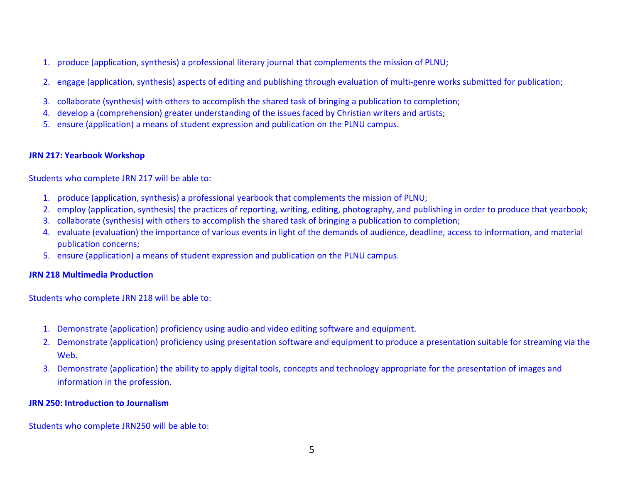- 1. produce (application, synthesis) <sup>a</sup> professional literary journal that complements the mission of PLNU;
- 2. engage (application, synthesis) aspects of editing and publishing through evaluation of multi‐genre works submitted for publication;
- 3. collaborate (synthesis) with others to accomplish the shared task of bringing <sup>a</sup> publication to completion;
- 4. develop <sup>a</sup> (comprehension) greater understanding of the issues faced by Christian writers and artists;
- 5. ensure (application) <sup>a</sup> means of student expression and publication on the PLNU campus.

### **JRN 217: Yearbook Workshop**

Students who complete JRN 217 will be able to:

- 1. produce (application, synthesis) <sup>a</sup> professional yearbook that complements the mission of PLNU;
- 2. employ (application, synthesis) the practices of reporting, writing, editing, photography, and publishing in order to produce that yearbook;
- 3. collaborate (synthesis) with others to accomplish the shared task of bringing <sup>a</sup> publication to completion;
- 4. evaluate (evaluation) the importance of various events in light of the demands of audience, deadline, access to information, and material publication concerns;
- 5. ensure (application) <sup>a</sup> means of student expression and publication on the PLNU campus.

#### **JRN 218 Multimedia Production**

Students who complete JRN 218 will be able to:

- 1. Demonstrate (application) proficiency using audio and video editing software and equipment.
- 2. Demonstrate (application) proficiency using presentation software and equipment to produce <sup>a</sup> presentation suitable for streaming via the Web.
- 3. Demonstrate (application) the ability to apply digital tools, concepts and technology appropriate for the presentation of images and information in the profession.

#### **JRN 250: Introduction to Journalism**

Students who complete JRN250 will be able to: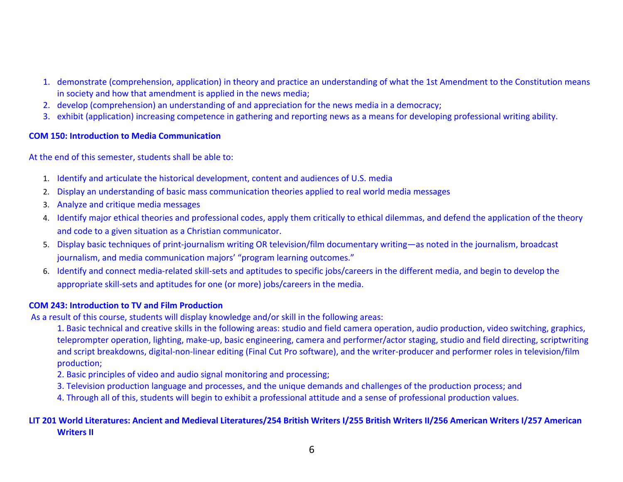- 1. demonstrate (comprehension, application) in theory and practice an understanding of what the 1st Amendment to the Constitution means in society and how that amendment is applied in the news media;
- 2. develop (comprehension) an understanding of and appreciation for the news media in <sup>a</sup> democracy;
- 3. exhibit (application) increasing competence in gathering and reporting news as <sup>a</sup> means for developing professional writing ability.

#### **COM 150: Introduction to Media Communication**

At the end of this semester, students shall be able to:

- 1. Identify and articulate the historical development, content and audiences of U.S. media
- 2. Display an understanding of basic mass communication theories applied to real world media messages
- 3. Analyze and critique media messages
- 4. Identify major ethical theories and professional codes, apply them critically to ethical dilemmas, and defend the application of the theory and code to <sup>a</sup> given situation as <sup>a</sup> Christian communicator.
- 5. Display basic techniques of print‐journalism writing OR television/film documentary writing—as noted in the journalism, broadcast journalism, and media communication majors' "program learning outcomes."
- 6. Identify and connect media‐related skill‐sets and aptitudes to specific jobs/careers in the different media, and begin to develop the appropriate skill‐sets and aptitudes for one (or more) jobs/careers in the media.

### **COM 243: Introduction to TV and Film Production**

As a result of this course, students will display knowledge and/or skill in the following areas:

1. Basic technical and creative skills in the following areas: studio and field camera operation, audio production, video switching, graphics, teleprompter operation, lighting, make‐up, basic engineering, camera and performer/actor staging, studio and field directing, scriptwriting and script breakdowns, digital‐non‐linear editing (Final Cut Pro software), and the writer‐producer and performer roles in television/film production;

- 2. Basic principles of video and audio signal monitoring and processing;
- 3. Television production language and processes, and the unique demands and challenges of the production process; and
- 4. Through all of this, students will begin to exhibit <sup>a</sup> professional attitude and <sup>a</sup> sense of professional production values.

## LIT 201 World Literatures: Ancient and Medieval Literatures/254 British Writers I/255 British Writers II/256 American Writers I/257 American **Writers II**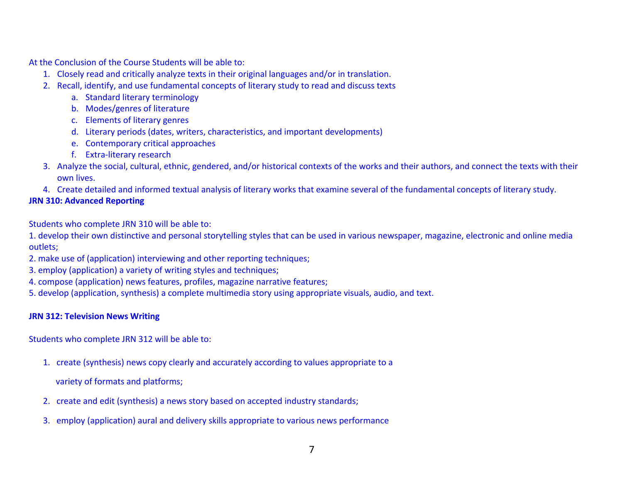At the Conclusion of the Course Students will be able to:

- 1. Closely read and critically analyze texts in their original languages and/or in translation.
- 2. Recall, identify, and use fundamental concepts of literary study to read and discuss texts
	- a. Standard literary terminology
	- b. Modes/genres of literature
	- c. Elements of literary genres
	- d. Literary periods (dates, writers, characteristics, and important developments)
	- e. Contemporary critical approaches
	- f. Extra‐literary research
- 3. Analyze the social, cultural, ethnic, gendered, and/or historical contexts of the works and their authors, and connect the texts with their own lives.
- 4. Create detailed and informed textual analysis of literary works that examine several of the fundamental concepts of literary study.

## **JRN 310: Advanced Reporting**

Students who complete JRN 310 will be able to:

1. develop their own distinctive and personal storytelling styles that can be used in various newspaper, magazine, electronic and online media outlets;

- 2. make use of (application) interviewing and other reporting techniques;
- 3. employ (application) <sup>a</sup> variety of writing styles and techniques;
- 4. compose (application) news features, profiles, magazine narrative features;
- 5. develop (application, synthesis) <sup>a</sup> complete multimedia story using appropriate visuals, audio, and text.

### **JRN 312: Television News Writing**

Students who complete JRN 312 will be able to:

- 1. create (synthesis) news copy clearly and accurately according to values appropriate to <sup>a</sup>
	- variety of formats and platforms;
- 2. create and edit (synthesis) <sup>a</sup> news story based on accepted industry standards;
- 3. employ (application) aural and delivery skills appropriate to various news performance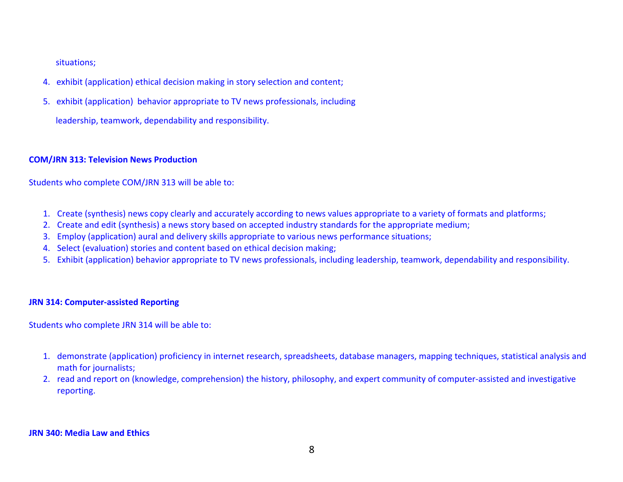situations;

- 4. exhibit (application) ethical decision making in story selection and content;
- 5. exhibit (application) behavior appropriate to TV news professionals, including

leadership, teamwork, dependability and responsibility.

## **COM/JRN 313: Television News Production**

Students who complete COM/JRN 313 will be able to:

- 1. Create (synthesis) news copy clearly and accurately according to news values appropriate to <sup>a</sup> variety of formats and platforms;
- 2. Create and edit (synthesis) <sup>a</sup> news story based on accepted industry standards for the appropriate medium;
- 3. Employ (application) aural and delivery skills appropriate to various news performance situations;
- 4. Select (evaluation) stories and content based on ethical decision making;
- 5. Exhibit (application) behavior appropriate to TV news professionals, including leadership, teamwork, dependability and responsibility.

## **JRN 314: Computer‐assisted Reporting**

Students who complete JRN 314 will be able to:

- 1. demonstrate (application) proficiency in internet research, spreadsheets, database managers, mapping techniques, statistical analysis and math for journalists;
- 2. read and report on (knowledge, comprehension) the history, philosophy, and expert community of computer‐assisted and investigative reporting.

#### **JRN 340: Media Law and Ethics**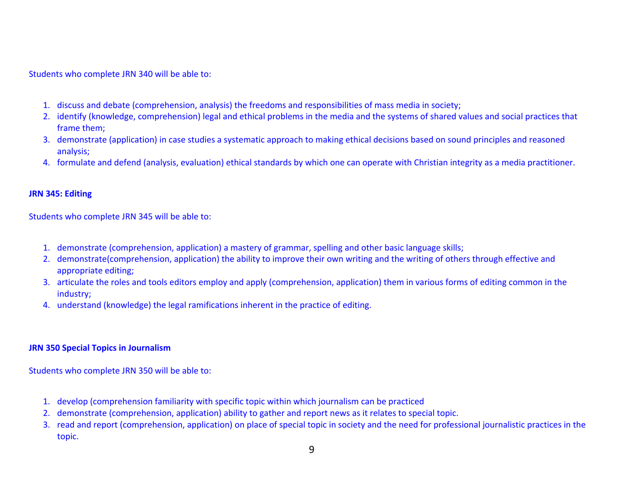Students who complete JRN 340 will be able to:

- 1. discuss and debate (comprehension, analysis) the freedoms and responsibilities of mass media in society;
- 2. identify (knowledge, comprehension) legal and ethical problems in the media and the systems of shared values and social practices that frame them;
- 3. demonstrate (application) in case studies <sup>a</sup> systematic approach to making ethical decisions based on sound principles and reasoned analysis;
- 4. formulate and defend (analysis, evaluation) ethical standards by which one can operate with Christian integrity as <sup>a</sup> media practitioner.

#### **JRN 345: Editing**

Students who complete JRN 345 will be able to:

- 1. demonstrate (comprehension, application) <sup>a</sup> mastery of grammar, spelling and other basic language skills;
- 2. demonstrate(comprehension, application) the ability to improve their own writing and the writing of others through effective and appropriate editing;
- 3. articulate the roles and tools editors employ and apply (comprehension, application) them in various forms of editing common in the industry;
- 4. understand (knowledge) the legal ramifications inherent in the practice of editing.

#### **JRN 350 Special Topics in Journalism**

Students who complete JRN 350 will be able to:

- 1. develop (comprehension familiarity with specific topic within which journalism can be practiced
- 2. demonstrate (comprehension, application) ability to gather and report news as it relates to special topic.
- 3. read and report (comprehension, application) on place of special topic in society and the need for professional journalistic practices in the topic.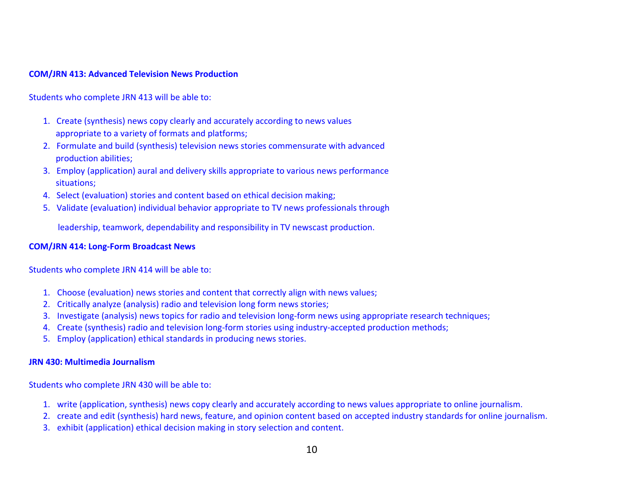#### **COM/JRN 413: Advanced Television News Production**

Students who complete JRN 413 will be able to:

- 1. Create (synthesis) news copy clearly and accurately according to news values appropriate to <sup>a</sup> variety of formats and platforms;
- 2. Formulate and build (synthesis) television news stories commensurate with advanced production abilities;
- 3. Employ (application) aural and delivery skills appropriate to various news performance situations;
- 4. Select (evaluation) stories and content based on ethical decision making;
- 5. Validate (evaluation) individual behavior appropriate to TV news professionals through

leadership, teamwork, dependability and responsibility in TV newscast production.

#### **COM/JRN 414: Long‐Form Broadcast News**

Students who complete JRN 414 will be able to:

- 1. Choose (evaluation) news stories and content that correctly align with news values;
- 2. Critically analyze (analysis) radio and television long form news stories;
- 3. Investigate (analysis) news topics for radio and television long‐form news using appropriate research techniques;
- 4. Create (synthesis) radio and television long‐form stories using industry‐accepted production methods;
- 5. Employ (application) ethical standards in producing news stories.

#### **JRN 430: Multimedia Journalism**

Students who complete JRN 430 will be able to:

- 1. write (application, synthesis) news copy clearly and accurately according to news values appropriate to online journalism.
- 2. create and edit (synthesis) hard news, feature, and opinion content based on accepted industry standards for online journalism.
- 3. exhibit (application) ethical decision making in story selection and content.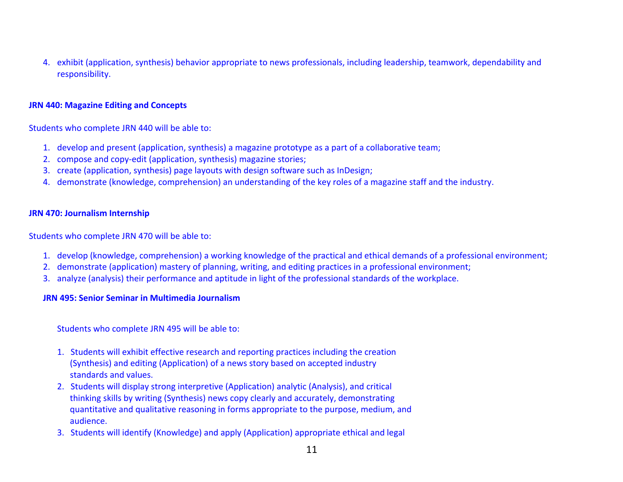4. exhibit (application, synthesis) behavior appropriate to news professionals, including leadership, teamwork, dependability and responsibility.

#### **JRN 440: Magazine Editing and Concepts**

Students who complete JRN 440 will be able to:

- 1. develop and present (application, synthesis) <sup>a</sup> magazine prototype as <sup>a</sup> part of <sup>a</sup> collaborative team;
- 2. compose and copy‐edit (application, synthesis) magazine stories;
- 3. create (application, synthesis) page layouts with design software such as InDesign;
- 4. demonstrate (knowledge, comprehension) an understanding of the key roles of <sup>a</sup> magazine staff and the industry.

#### **JRN 470: Journalism Internship**

Students who complete JRN 470 will be able to:

- 1. develop (knowledge, comprehension) <sup>a</sup> working knowledge of the practical and ethical demands of <sup>a</sup> professional environment;
- 2. demonstrate (application) mastery of planning, writing, and editing practices in <sup>a</sup> professional environment;
- 3. analyze (analysis) their performance and aptitude in light of the professional standards of the workplace.

#### **JRN 495: Senior Seminar in Multimedia Journalism**

Students who complete JRN 495 will be able to:

- 1. Students will exhibit effective research and reporting practices including the creation (Synthesis) and editing (Application) of <sup>a</sup> news story based on accepted industry standards and values.
- 2. Students will display strong interpretive (Application) analytic (Analysis), and critical thinking skills by writing (Synthesis) news copy clearly and accurately, demonstrating quantitative and qualitative reasoning in forms appropriate to the purpose, medium, and audience.
- 3. Students will identify (Knowledge) and apply (Application) appropriate ethical and legal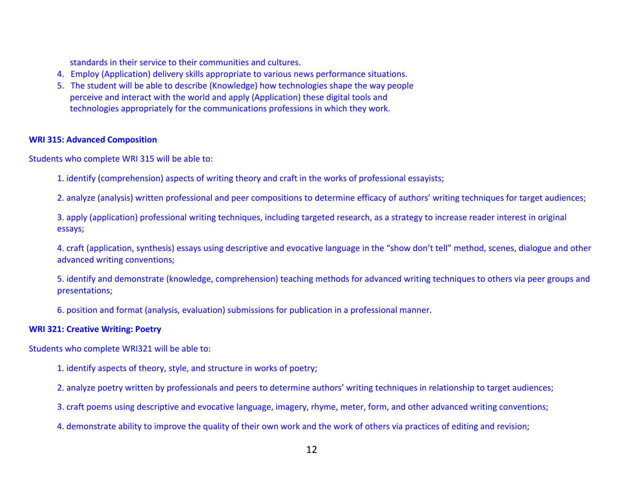standards in their service to their communities and cultures.

- 4. Employ (Application) delivery skills appropriate to various news performance situations.
- 5. The student will be able to describe (Knowledge) how technologies shape the way people perceive and interact with the world and apply (Application) these digital tools and technologies appropriately for the communications professions in which they work.

#### **WRI 315: Advanced Composition**

Students who complete WRI 315 will be able to:

1. identify (comprehension) aspects of writing theory and craft in the works of professional essayists;

2. analyze (analysis) written professional and peer compositions to determine efficacy of authors' writing techniques for target audiences;

3. apply (application) professional writing techniques, including targeted research, as <sup>a</sup> strategy to increase reader interest in original essays;

4. craft (application, synthesis) essays using descriptive and evocative language in the "show don't tell" method, scenes, dialogue and other advanced writing conventions;

5. identify and demonstrate (knowledge, comprehension) teaching methods for advanced writing techniques to others via peer groups and presentations;

6. position and format (analysis, evaluation) submissions for publication in <sup>a</sup> professional manner.

#### **WRI 321: Creative Writing: Poetry**

Students who complete WRI321 will be able to:

- 1. identify aspects of theory, style, and structure in works of poetry;
- 2. analyze poetry written by professionals and peers to determine authors' writing techniques in relationship to target audiences;
- 3. craft poems using descriptive and evocative language, imagery, rhyme, meter, form, and other advanced writing conventions;
- 4. demonstrate ability to improve the quality of their own work and the work of others via practices of editing and revision;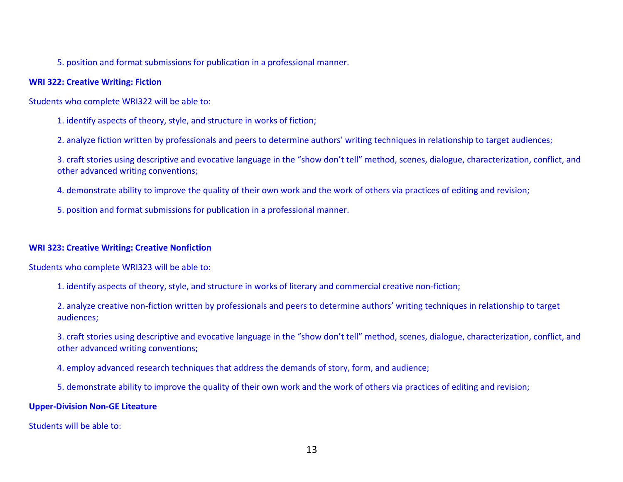5. position and format submissions for publication in <sup>a</sup> professional manner.

#### **WRI 322: Creative Writing: Fiction**

Students who complete WRI322 will be able to:

1. identify aspects of theory, style, and structure in works of fiction;

2. analyze fiction written by professionals and peers to determine authors' writing techniques in relationship to target audiences;

3. craft stories using descriptive and evocative language in the "show don't tell" method, scenes, dialogue, characterization, conflict, and other advanced writing conventions;

4. demonstrate ability to improve the quality of their own work and the work of others via practices of editing and revision;

5. position and format submissions for publication in <sup>a</sup> professional manner.

#### **WRI 323: Creative Writing: Creative Nonfiction**

Students who complete WRI323 will be able to:

1. identify aspects of theory, style, and structure in works of literary and commercial creative non‐fiction;

2. analyze creative non‐fiction written by professionals and peers to determine authors' writing techniques in relationship to target audiences;

3. craft stories using descriptive and evocative language in the "show don't tell" method, scenes, dialogue, characterization, conflict, and other advanced writing conventions;

4. employ advanced research techniques that address the demands of story, form, and audience;

5. demonstrate ability to improve the quality of their own work and the work of others via practices of editing and revision;

#### **Upper‐Division Non‐GE Liteature**

Students will be able to: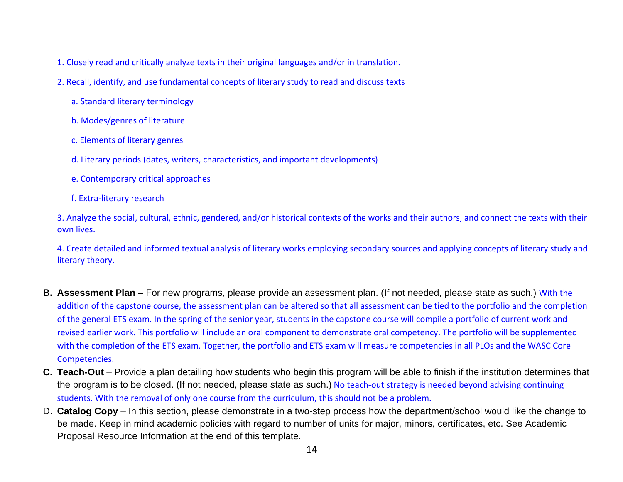- 1. Closely read and critically analyze texts in their original languages and/or in translation.
- 2. Recall, identify, and use fundamental concepts of literary study to read and discuss texts
	- a. Standard literary terminology
	- b. Modes/genres of literature
	- c. Elements of literary genres
	- d. Literary periods (dates, writers, characteristics, and important developments)
	- e. Contemporary critical approaches
	- f. Extra‐literary research

3. Analyze the social, cultural, ethnic, gendered, and/or historical contexts of the works and their authors, and connect the texts with their own lives.

4. Create detailed and informed textual analysis of literary works employing secondary sources and applying concepts of literary study and literary theory.

- **B. Assessment Plan** For new programs, please provide an assessment plan. (If not needed, please state as such.) With the addition of the capstone course, the assessment plan can be altered so that all assessment can be tied to the portfolio and the completion of the general ETS exam. In the spring of the senior year, students in the capstone course will compile <sup>a</sup> portfolio of current work and revised earlier work. This portfolio will include an oral component to demonstrate oral competency. The portfolio will be supplemented with the completion of the ETS exam. Together, the portfolio and ETS exam will measure competencies in all PLOs and the WASC Core Competencies.
- **C. Teach-Out** Provide a plan detailing how students who begin this program will be able to finish if the institution determines that the program is to be closed. (If not needed, please state as such.) No teach-out strategy is needed beyond advising continuing students. With the removal of only one course from the curriculum, this should not be <sup>a</sup> problem.
- D. **Catalog Copy** In this section, please demonstrate in a two-step process how the department/school would like the change to be made. Keep in mind academic policies with regard to number of units for major, minors, certificates, etc. See Academic Proposal Resource Information at the end of this template.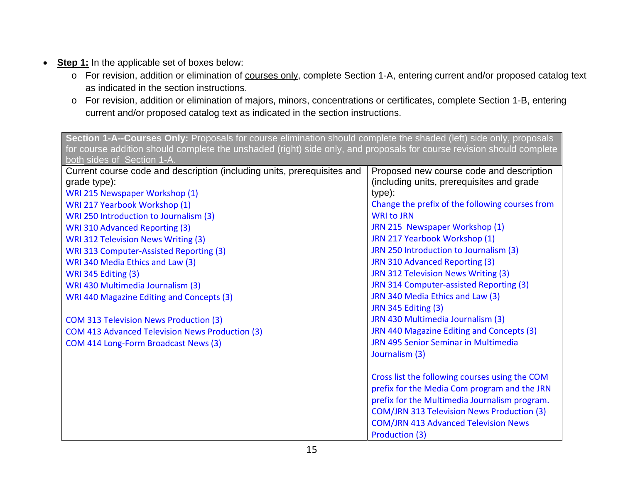- **Step 1:** In the applicable set of boxes below:
	- o For revision, addition or elimination of courses only, complete Section 1-A, entering current and/or proposed catalog text as indicated in the section instructions.
	- <sup>o</sup> For revision, addition or elimination of majors, minors, concentrations or certificates, complete Section 1-B, entering current and/or proposed catalog text as indicated in the section instructions.

| Section 1-A--Courses Only: Proposals for course elimination should complete the shaded (left) side only, proposals    |                                                                      |  |
|-----------------------------------------------------------------------------------------------------------------------|----------------------------------------------------------------------|--|
| for course addition should complete the unshaded (right) side only, and proposals for course revision should complete |                                                                      |  |
| both sides of Section 1-A.                                                                                            |                                                                      |  |
| Current course code and description (including units, prerequisites and                                               | Proposed new course code and description                             |  |
| grade type):                                                                                                          | (including units, prerequisites and grade<br>type):                  |  |
| WRI 215 Newspaper Workshop (1)                                                                                        |                                                                      |  |
| WRI 217 Yearbook Workshop (1)                                                                                         | Change the prefix of the following courses from<br><b>WRI to JRN</b> |  |
| WRI 250 Introduction to Journalism (3)                                                                                |                                                                      |  |
| <b>WRI 310 Advanced Reporting (3)</b>                                                                                 | JRN 215 Newspaper Workshop (1)                                       |  |
| <b>WRI 312 Television News Writing (3)</b>                                                                            | JRN 217 Yearbook Workshop (1)                                        |  |
| WRI 313 Computer-Assisted Reporting (3)                                                                               | JRN 250 Introduction to Journalism (3)                               |  |
| WRI 340 Media Ethics and Law (3)                                                                                      | JRN 310 Advanced Reporting (3)                                       |  |
| WRI 345 Editing (3)                                                                                                   | JRN 312 Television News Writing (3)                                  |  |
| WRI 430 Multimedia Journalism (3)                                                                                     | JRN 314 Computer-assisted Reporting (3)                              |  |
| WRI 440 Magazine Editing and Concepts (3)                                                                             | JRN 340 Media Ethics and Law (3)                                     |  |
|                                                                                                                       | <b>JRN 345 Editing (3)</b>                                           |  |
| <b>COM 313 Television News Production (3)</b>                                                                         | JRN 430 Multimedia Journalism (3)                                    |  |
| COM 413 Advanced Television News Production (3)                                                                       | JRN 440 Magazine Editing and Concepts (3)                            |  |
| COM 414 Long-Form Broadcast News (3)                                                                                  | JRN 495 Senior Seminar in Multimedia                                 |  |
|                                                                                                                       | Journalism (3)                                                       |  |
|                                                                                                                       | Cross list the following courses using the COM                       |  |
|                                                                                                                       | prefix for the Media Com program and the JRN                         |  |
|                                                                                                                       | prefix for the Multimedia Journalism program.                        |  |
|                                                                                                                       | <b>COM/JRN 313 Television News Production (3)</b>                    |  |
|                                                                                                                       | <b>COM/JRN 413 Advanced Television News</b>                          |  |
|                                                                                                                       | Production (3)                                                       |  |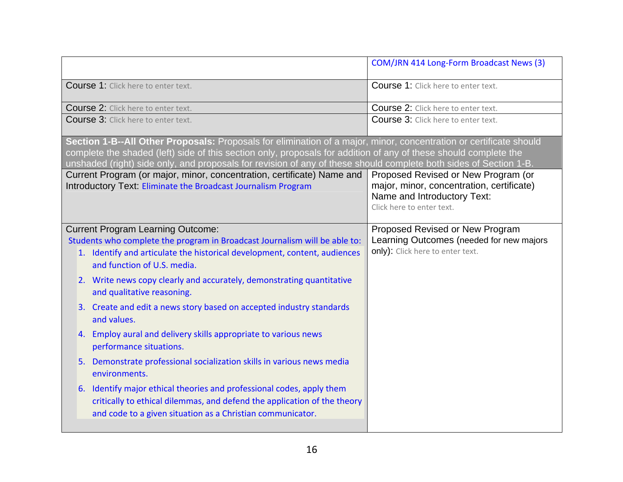|                                                                                                                                                                                                                                                                                                                                                             | COM/JRN 414 Long-Form Broadcast News (3)                                                                                                     |
|-------------------------------------------------------------------------------------------------------------------------------------------------------------------------------------------------------------------------------------------------------------------------------------------------------------------------------------------------------------|----------------------------------------------------------------------------------------------------------------------------------------------|
| <b>Course 1:</b> Click here to enter text.                                                                                                                                                                                                                                                                                                                  | Course 1: Click here to enter text.                                                                                                          |
| <b>Course 2:</b> Click here to enter text.                                                                                                                                                                                                                                                                                                                  | Course 2: Click here to enter text.                                                                                                          |
| Course 3: Click here to enter text.                                                                                                                                                                                                                                                                                                                         | Course 3: Click here to enter text.                                                                                                          |
| Section 1-B--All Other Proposals: Proposals for elimination of a major, minor, concentration or certificate should<br>complete the shaded (left) side of this section only, proposals for addition of any of these should complete the<br>unshaded (right) side only, and proposals for revision of any of these should complete both sides of Section 1-B. |                                                                                                                                              |
| Current Program (or major, minor, concentration, certificate) Name and<br>Introductory Text: Eliminate the Broadcast Journalism Program                                                                                                                                                                                                                     | Proposed Revised or New Program (or<br>major, minor, concentration, certificate)<br>Name and Introductory Text:<br>Click here to enter text. |
| <b>Current Program Learning Outcome:</b><br>Students who complete the program in Broadcast Journalism will be able to:<br>1. Identify and articulate the historical development, content, audiences<br>and function of U.S. media.                                                                                                                          | Proposed Revised or New Program<br>Learning Outcomes (needed for new majors<br>only): Click here to enter text.                              |
| 2. Write news copy clearly and accurately, demonstrating quantitative<br>and qualitative reasoning.                                                                                                                                                                                                                                                         |                                                                                                                                              |
| 3. Create and edit a news story based on accepted industry standards<br>and values.                                                                                                                                                                                                                                                                         |                                                                                                                                              |
| 4. Employ aural and delivery skills appropriate to various news<br>performance situations.                                                                                                                                                                                                                                                                  |                                                                                                                                              |
| 5. Demonstrate professional socialization skills in various news media<br>environments.                                                                                                                                                                                                                                                                     |                                                                                                                                              |
| 6. Identify major ethical theories and professional codes, apply them<br>critically to ethical dilemmas, and defend the application of the theory<br>and code to a given situation as a Christian communicator.                                                                                                                                             |                                                                                                                                              |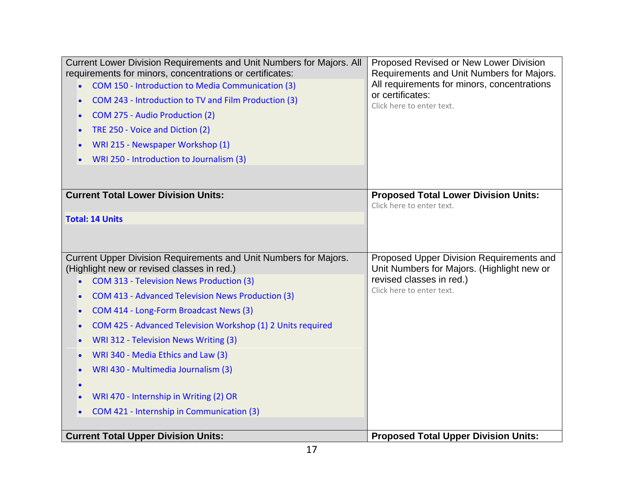| Current Lower Division Requirements and Unit Numbers for Majors. All<br>requirements for minors, concentrations or certificates: | Proposed Revised or New Lower Division<br>Requirements and Unit Numbers for Majors.    |
|----------------------------------------------------------------------------------------------------------------------------------|----------------------------------------------------------------------------------------|
| COM 150 - Introduction to Media Communication (3)                                                                                | All requirements for minors, concentrations                                            |
| COM 243 - Introduction to TV and Film Production (3)                                                                             | or certificates:<br>Click here to enter text.                                          |
| COM 275 - Audio Production (2)                                                                                                   |                                                                                        |
| TRE 250 - Voice and Diction (2)                                                                                                  |                                                                                        |
| WRI 215 - Newspaper Workshop (1)                                                                                                 |                                                                                        |
| WRI 250 - Introduction to Journalism (3)                                                                                         |                                                                                        |
|                                                                                                                                  |                                                                                        |
| <b>Current Total Lower Division Units:</b>                                                                                       | <b>Proposed Total Lower Division Units:</b><br>Click here to enter text.               |
| <b>Total: 14 Units</b>                                                                                                           |                                                                                        |
|                                                                                                                                  |                                                                                        |
| Current Upper Division Requirements and Unit Numbers for Majors.<br>(Highlight new or revised classes in red.)                   | Proposed Upper Division Requirements and<br>Unit Numbers for Majors. (Highlight new or |
| <b>COM 313 - Television News Production (3)</b><br>$\bullet$                                                                     | revised classes in red.)                                                               |
| COM 413 - Advanced Television News Production (3)                                                                                | Click here to enter text.                                                              |
| COM 414 - Long-Form Broadcast News (3)<br>$\bullet$                                                                              |                                                                                        |
| COM 425 - Advanced Television Workshop (1) 2 Units required                                                                      |                                                                                        |
| WRI 312 - Television News Writing (3)                                                                                            |                                                                                        |
| WRI 340 - Media Ethics and Law (3)<br>$\bullet$                                                                                  |                                                                                        |
| WRI 430 - Multimedia Journalism (3)<br>$\bullet$                                                                                 |                                                                                        |
|                                                                                                                                  |                                                                                        |
| WRI 470 - Internship in Writing (2) OR                                                                                           |                                                                                        |
| COM 421 - Internship in Communication (3)                                                                                        |                                                                                        |
| <b>Current Total Upper Division Units:</b>                                                                                       | <b>Proposed Total Upper Division Units:</b>                                            |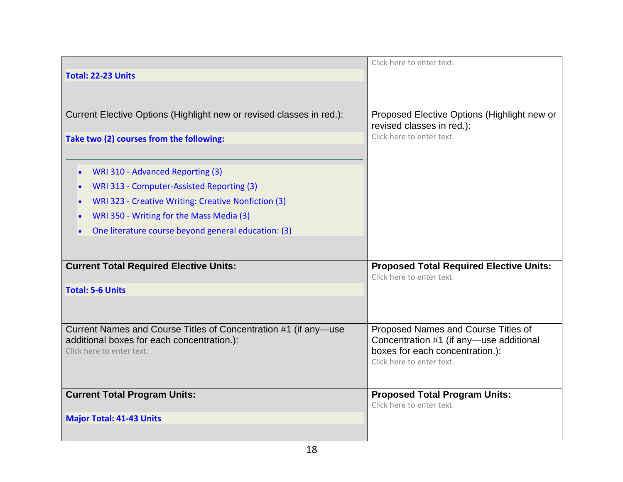|                                                                                                               | Click here to enter text.                                                   |
|---------------------------------------------------------------------------------------------------------------|-----------------------------------------------------------------------------|
| <b>Total: 22-23 Units</b>                                                                                     |                                                                             |
|                                                                                                               |                                                                             |
|                                                                                                               |                                                                             |
| Current Elective Options (Highlight new or revised classes in red.):                                          | Proposed Elective Options (Highlight new or<br>revised classes in red.):    |
| Take two (2) courses from the following:                                                                      | Click here to enter text.                                                   |
|                                                                                                               |                                                                             |
| WRI 310 - Advanced Reporting (3)<br>$\bullet$                                                                 |                                                                             |
| WRI 313 - Computer-Assisted Reporting (3)<br>$\bullet$                                                        |                                                                             |
| WRI 323 - Creative Writing: Creative Nonfiction (3)                                                           |                                                                             |
| WRI 350 - Writing for the Mass Media (3)                                                                      |                                                                             |
| One literature course beyond general education: (3)                                                           |                                                                             |
|                                                                                                               |                                                                             |
|                                                                                                               |                                                                             |
| <b>Current Total Required Elective Units:</b>                                                                 | <b>Proposed Total Required Elective Units:</b><br>Click here to enter text. |
| <b>Total: 5-6 Units</b>                                                                                       |                                                                             |
|                                                                                                               |                                                                             |
|                                                                                                               |                                                                             |
| Current Names and Course Titles of Concentration #1 (if any-use<br>additional boxes for each concentration.): | Proposed Names and Course Titles of                                         |
| Click here to enter text.                                                                                     | Concentration #1 (if any-use additional<br>boxes for each concentration.):  |
|                                                                                                               | Click here to enter text.                                                   |
|                                                                                                               |                                                                             |
| <b>Current Total Program Units:</b>                                                                           | <b>Proposed Total Program Units:</b>                                        |
|                                                                                                               | Click here to enter text.                                                   |
| <b>Major Total: 41-43 Units</b>                                                                               |                                                                             |
|                                                                                                               |                                                                             |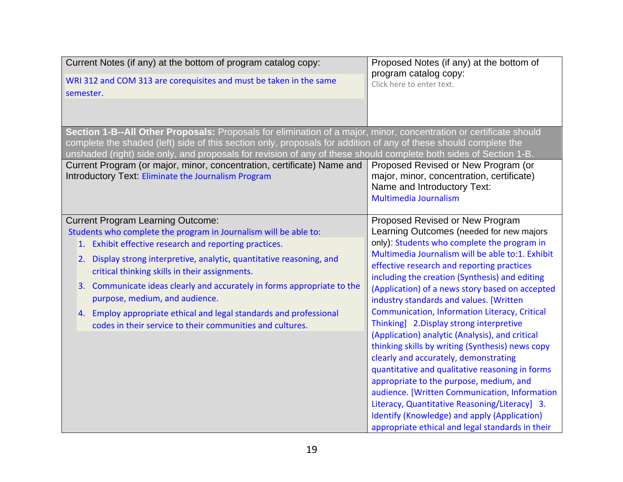| Current Notes (if any) at the bottom of program catalog copy:<br>WRI 312 and COM 313 are corequisites and must be taken in the same<br>semester.                                                                                                                                                                                                                                                                                                                                             | Proposed Notes (if any) at the bottom of<br>program catalog copy:<br>Click here to enter text.                                               |
|----------------------------------------------------------------------------------------------------------------------------------------------------------------------------------------------------------------------------------------------------------------------------------------------------------------------------------------------------------------------------------------------------------------------------------------------------------------------------------------------|----------------------------------------------------------------------------------------------------------------------------------------------|
| Section 1-B--All Other Proposals: Proposals for elimination of a major, minor, concentration or certificate should<br>complete the shaded (left) side of this section only, proposals for addition of any of these should complete the<br>unshaded (right) side only, and proposals for revision of any of these should complete both sides of Section 1-B.<br>Current Program (or major, minor, concentration, certificate) Name and<br>Introductory Text: Eliminate the Journalism Program | Proposed Revised or New Program (or<br>major, minor, concentration, certificate)<br>Name and Introductory Text:                              |
| <b>Current Program Learning Outcome:</b>                                                                                                                                                                                                                                                                                                                                                                                                                                                     | <b>Multimedia Journalism</b><br>Proposed Revised or New Program                                                                              |
| Students who complete the program in Journalism will be able to:<br>1. Exhibit effective research and reporting practices.                                                                                                                                                                                                                                                                                                                                                                   | Learning Outcomes (needed for new majors<br>only): Students who complete the program in<br>Multimedia Journalism will be able to:1. Exhibit  |
| 2. Display strong interpretive, analytic, quantitative reasoning, and<br>critical thinking skills in their assignments.                                                                                                                                                                                                                                                                                                                                                                      | effective research and reporting practices<br>including the creation (Synthesis) and editing                                                 |
| 3. Communicate ideas clearly and accurately in forms appropriate to the<br>purpose, medium, and audience.                                                                                                                                                                                                                                                                                                                                                                                    | (Application) of a news story based on accepted<br>industry standards and values. [Written                                                   |
| 4. Employ appropriate ethical and legal standards and professional<br>codes in their service to their communities and cultures.                                                                                                                                                                                                                                                                                                                                                              | Communication, Information Literacy, Critical<br>Thinking] 2. Display strong interpretive<br>(Application) analytic (Analysis), and critical |
|                                                                                                                                                                                                                                                                                                                                                                                                                                                                                              | thinking skills by writing (Synthesis) news copy<br>clearly and accurately, demonstrating                                                    |
|                                                                                                                                                                                                                                                                                                                                                                                                                                                                                              | quantitative and qualitative reasoning in forms<br>appropriate to the purpose, medium, and                                                   |
|                                                                                                                                                                                                                                                                                                                                                                                                                                                                                              | audience. [Written Communication, Information<br>Literacy, Quantitative Reasoning/Literacy] 3.                                               |
|                                                                                                                                                                                                                                                                                                                                                                                                                                                                                              | Identify (Knowledge) and apply (Application)<br>appropriate ethical and legal standards in their                                             |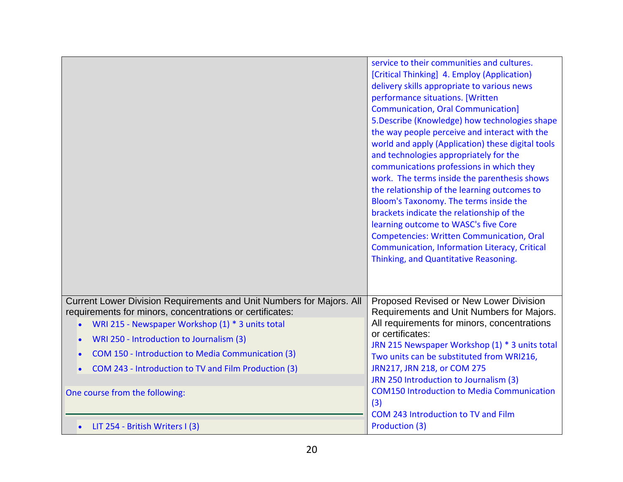|                                                                                                                                                                                      | service to their communities and cultures.<br>[Critical Thinking] 4. Employ (Application)<br>delivery skills appropriate to various news<br>performance situations. [Written<br><b>Communication, Oral Communication]</b><br>5. Describe (Knowledge) how technologies shape<br>the way people perceive and interact with the<br>world and apply (Application) these digital tools<br>and technologies appropriately for the<br>communications professions in which they<br>work. The terms inside the parenthesis shows<br>the relationship of the learning outcomes to<br>Bloom's Taxonomy. The terms inside the<br>brackets indicate the relationship of the<br>learning outcome to WASC's five Core<br><b>Competencies: Written Communication, Oral</b><br>Communication, Information Literacy, Critical<br>Thinking, and Quantitative Reasoning. |
|--------------------------------------------------------------------------------------------------------------------------------------------------------------------------------------|------------------------------------------------------------------------------------------------------------------------------------------------------------------------------------------------------------------------------------------------------------------------------------------------------------------------------------------------------------------------------------------------------------------------------------------------------------------------------------------------------------------------------------------------------------------------------------------------------------------------------------------------------------------------------------------------------------------------------------------------------------------------------------------------------------------------------------------------------|
| Current Lower Division Requirements and Unit Numbers for Majors. All<br>requirements for minors, concentrations or certificates:<br>WRI 215 - Newspaper Workshop (1) * 3 units total | Proposed Revised or New Lower Division<br>Requirements and Unit Numbers for Majors.<br>All requirements for minors, concentrations                                                                                                                                                                                                                                                                                                                                                                                                                                                                                                                                                                                                                                                                                                                   |
| WRI 250 - Introduction to Journalism (3)                                                                                                                                             | or certificates:                                                                                                                                                                                                                                                                                                                                                                                                                                                                                                                                                                                                                                                                                                                                                                                                                                     |
| COM 150 - Introduction to Media Communication (3)                                                                                                                                    | JRN 215 Newspaper Workshop (1) * 3 units total<br>Two units can be substituted from WRI216,                                                                                                                                                                                                                                                                                                                                                                                                                                                                                                                                                                                                                                                                                                                                                          |
| COM 243 - Introduction to TV and Film Production (3)                                                                                                                                 | JRN217, JRN 218, or COM 275<br>JRN 250 Introduction to Journalism (3)                                                                                                                                                                                                                                                                                                                                                                                                                                                                                                                                                                                                                                                                                                                                                                                |
| One course from the following:                                                                                                                                                       | <b>COM150 Introduction to Media Communication</b><br>(3)                                                                                                                                                                                                                                                                                                                                                                                                                                                                                                                                                                                                                                                                                                                                                                                             |
| LIT 254 - British Writers I (3)                                                                                                                                                      | COM 243 Introduction to TV and Film<br>Production (3)                                                                                                                                                                                                                                                                                                                                                                                                                                                                                                                                                                                                                                                                                                                                                                                                |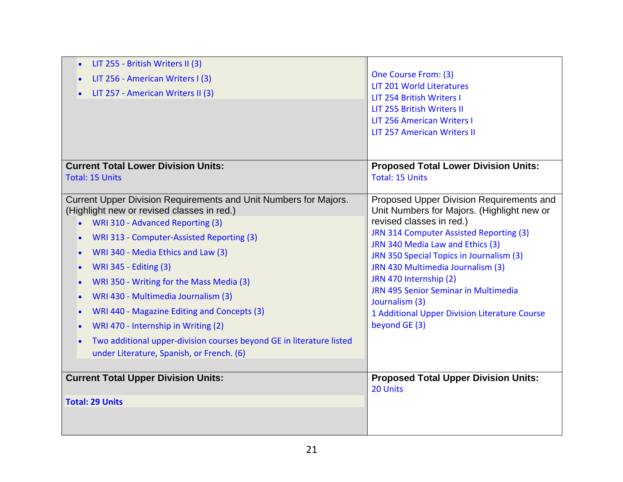| LIT 255 - British Writers II (3)<br>$\bullet$<br>LIT 256 - American Writers I (3)<br>LIT 257 - American Writers II (3)                                                                                                                                                                                                                                                                                                                                                                                                                                                                        | One Course From: (3)<br><b>LIT 201 World Literatures</b><br>LIT 254 British Writers I<br>LIT 255 British Writers II<br>LIT 256 American Writers I<br><b>LIT 257 American Writers II</b>                                                                                                                                                                                                                                                  |
|-----------------------------------------------------------------------------------------------------------------------------------------------------------------------------------------------------------------------------------------------------------------------------------------------------------------------------------------------------------------------------------------------------------------------------------------------------------------------------------------------------------------------------------------------------------------------------------------------|------------------------------------------------------------------------------------------------------------------------------------------------------------------------------------------------------------------------------------------------------------------------------------------------------------------------------------------------------------------------------------------------------------------------------------------|
| <b>Current Total Lower Division Units:</b>                                                                                                                                                                                                                                                                                                                                                                                                                                                                                                                                                    | <b>Proposed Total Lower Division Units:</b>                                                                                                                                                                                                                                                                                                                                                                                              |
| <b>Total: 15 Units</b>                                                                                                                                                                                                                                                                                                                                                                                                                                                                                                                                                                        | <b>Total: 15 Units</b>                                                                                                                                                                                                                                                                                                                                                                                                                   |
| Current Upper Division Requirements and Unit Numbers for Majors.<br>(Highlight new or revised classes in red.)<br>WRI 310 - Advanced Reporting (3)<br>WRI 313 - Computer-Assisted Reporting (3)<br>WRI 340 - Media Ethics and Law (3)<br><b>WRI 345 - Editing (3)</b><br>WRI 350 - Writing for the Mass Media (3)<br>$\bullet$<br>WRI 430 - Multimedia Journalism (3)<br>$\bullet$<br>WRI 440 - Magazine Editing and Concepts (3)<br>WRI 470 - Internship in Writing (2)<br>Two additional upper-division courses beyond GE in literature listed<br>under Literature, Spanish, or French. (6) | Proposed Upper Division Requirements and<br>Unit Numbers for Majors. (Highlight new or<br>revised classes in red.)<br>JRN 314 Computer Assisted Reporting (3)<br>JRN 340 Media Law and Ethics (3)<br>JRN 350 Special Topics in Journalism (3)<br>JRN 430 Multimedia Journalism (3)<br>JRN 470 Internship (2)<br>JRN 495 Senior Seminar in Multimedia<br>Journalism (3)<br>1 Additional Upper Division Literature Course<br>beyond GE (3) |
| <b>Current Total Upper Division Units:</b>                                                                                                                                                                                                                                                                                                                                                                                                                                                                                                                                                    | <b>Proposed Total Upper Division Units:</b>                                                                                                                                                                                                                                                                                                                                                                                              |
| <b>Total: 29 Units</b>                                                                                                                                                                                                                                                                                                                                                                                                                                                                                                                                                                        | 20 Units                                                                                                                                                                                                                                                                                                                                                                                                                                 |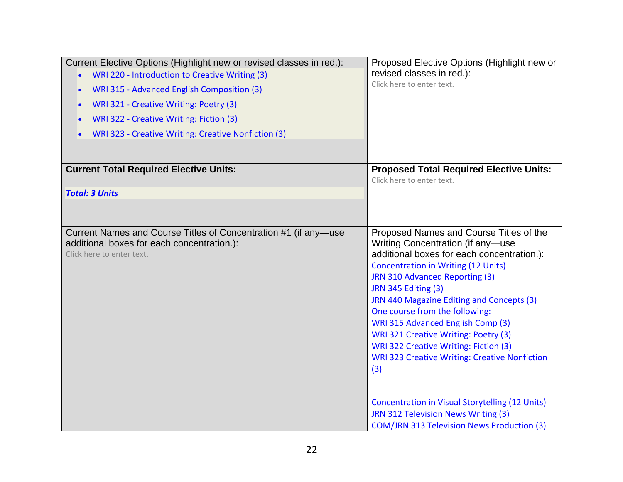| Current Elective Options (Highlight new or revised classes in red.):<br>WRI 220 - Introduction to Creative Writing (3)<br>WRI 315 - Advanced English Composition (3)<br>WRI 321 - Creative Writing: Poetry (3)<br>WRI 322 - Creative Writing: Fiction (3)<br>WRI 323 - Creative Writing: Creative Nonfiction (3) | Proposed Elective Options (Highlight new or<br>revised classes in red.):<br>Click here to enter text.                                                                                                                                                                                                                                                                                                                                                                                                                                                                                                         |
|------------------------------------------------------------------------------------------------------------------------------------------------------------------------------------------------------------------------------------------------------------------------------------------------------------------|---------------------------------------------------------------------------------------------------------------------------------------------------------------------------------------------------------------------------------------------------------------------------------------------------------------------------------------------------------------------------------------------------------------------------------------------------------------------------------------------------------------------------------------------------------------------------------------------------------------|
| <b>Current Total Required Elective Units:</b>                                                                                                                                                                                                                                                                    | <b>Proposed Total Required Elective Units:</b><br>Click here to enter text.                                                                                                                                                                                                                                                                                                                                                                                                                                                                                                                                   |
| <b>Total: 3 Units</b>                                                                                                                                                                                                                                                                                            |                                                                                                                                                                                                                                                                                                                                                                                                                                                                                                                                                                                                               |
|                                                                                                                                                                                                                                                                                                                  |                                                                                                                                                                                                                                                                                                                                                                                                                                                                                                                                                                                                               |
| Current Names and Course Titles of Concentration #1 (if any-use<br>additional boxes for each concentration.):<br>Click here to enter text.                                                                                                                                                                       | Proposed Names and Course Titles of the<br>Writing Concentration (if any-use<br>additional boxes for each concentration.):<br><b>Concentration in Writing (12 Units)</b><br>JRN 310 Advanced Reporting (3)<br><b>JRN 345 Editing (3)</b><br>JRN 440 Magazine Editing and Concepts (3)<br>One course from the following:<br>WRI 315 Advanced English Comp (3)<br>WRI 321 Creative Writing: Poetry (3)<br>WRI 322 Creative Writing: Fiction (3)<br><b>WRI 323 Creative Writing: Creative Nonfiction</b><br>(3)<br><b>Concentration in Visual Storytelling (12 Units)</b><br>JRN 312 Television News Writing (3) |
|                                                                                                                                                                                                                                                                                                                  | <b>COM/JRN 313 Television News Production (3)</b>                                                                                                                                                                                                                                                                                                                                                                                                                                                                                                                                                             |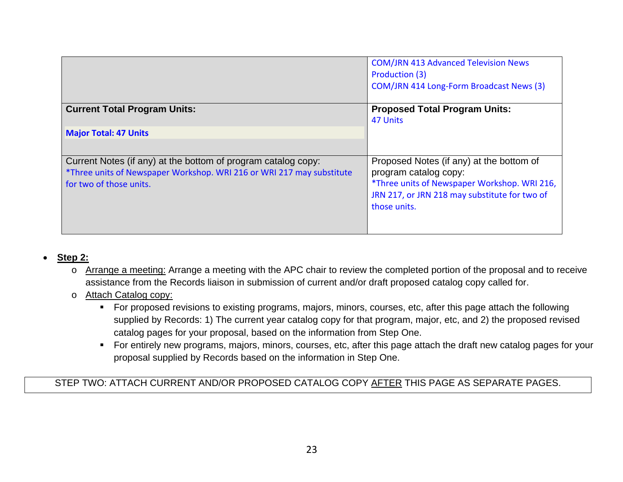|                                                                                                                                                                   | <b>COM/JRN 413 Advanced Television News</b><br>Production (3)<br>COM/JRN 414 Long-Form Broadcast News (3)                                                                          |
|-------------------------------------------------------------------------------------------------------------------------------------------------------------------|------------------------------------------------------------------------------------------------------------------------------------------------------------------------------------|
| <b>Current Total Program Units:</b>                                                                                                                               | <b>Proposed Total Program Units:</b><br>47 Units                                                                                                                                   |
| <b>Major Total: 47 Units</b>                                                                                                                                      |                                                                                                                                                                                    |
| Current Notes (if any) at the bottom of program catalog copy:<br>*Three units of Newspaper Workshop. WRI 216 or WRI 217 may substitute<br>for two of those units. | Proposed Notes (if any) at the bottom of<br>program catalog copy:<br>*Three units of Newspaper Workshop. WRI 216,<br>JRN 217, or JRN 218 may substitute for two of<br>those units. |

#### $\bullet$ **Step 2:**

- <sup>o</sup> Arrange a meeting: Arrange a meeting with the APC chair to review the completed portion of the proposal and to receive assistance from the Records liaison in submission of current and/or draft proposed catalog copy called for.
- <sup>o</sup> Attach Catalog copy:
	- For proposed revisions to existing programs, majors, minors, courses, etc, after this page attach the following supplied by Records: 1) The current year catalog copy for that program, major, etc, and 2) the proposed revised catalog pages for your proposal, based on the information from Step One.
	- For entirely new programs, majors, minors, courses, etc, after this page attach the draft new catalog pages for your proposal supplied by Records based on the information in Step One.

STEP TWO: ATTACH CURRENT AND/OR PROPOSED CATALOG COPY AFTER THIS PAGE AS SEPARATE PAGES.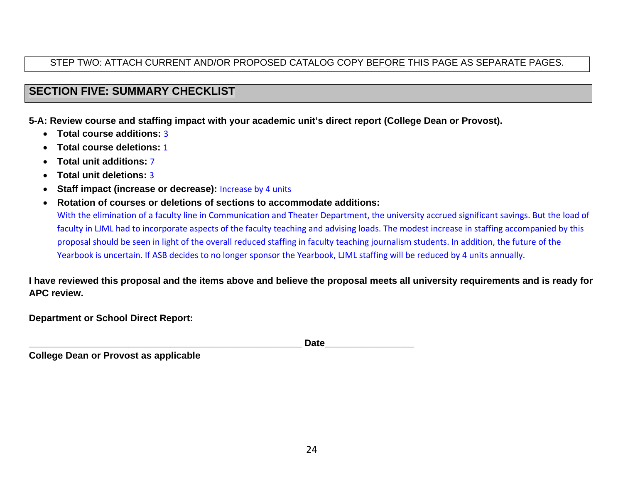# STEP TWO: ATTACH CURRENT AND/OR PROPOSED CATALOG COPY BEFORE THIS PAGE AS SEPARATE PAGES.

# **SECTION FIVE: SUMMARY CHECKLIST**

**5-A: Review course and staffing impact with your academic unit's direct report (College Dean or Provost).** 

- **Total course additions:** 3
- **Total course deletions:** 1
- **Total unit additions:** 7
- 0 **Total unit deletions:** 3
- . **Staff impact (increase or decrease):** Increase by 4 units
- $\bullet$  **Rotation of courses or deletions of sections to accommodate additions:** With the elimination of <sup>a</sup> faculty line in Communication and Theater Department, the university accrued significant savings. But the load of faculty in LJML had to incorporate aspects of the faculty teaching and advising loads. The modest increase in staffing accompanied by this proposal should be seen in light of the overall reduced staffing in faculty teaching journalism students. In addition, the future of the Yearbook is uncertain. If ASB decides to no longer sponsor the Yearbook, LJML staffing will be reduced by 4 units annually.

**I have reviewed this proposal and the items above and believe the proposal meets all university requirements and is ready for APC review.** 

**Department or School Direct Report:** 

**\_\_\_\_\_\_\_\_\_\_\_\_\_\_\_\_\_\_\_\_\_\_\_\_\_\_\_\_\_\_\_\_\_\_\_\_\_\_\_\_\_\_\_\_\_\_\_\_\_\_\_\_ Date\_\_\_\_\_\_\_\_\_\_\_\_\_\_\_\_\_** 

**College Dean or Provost as applicable**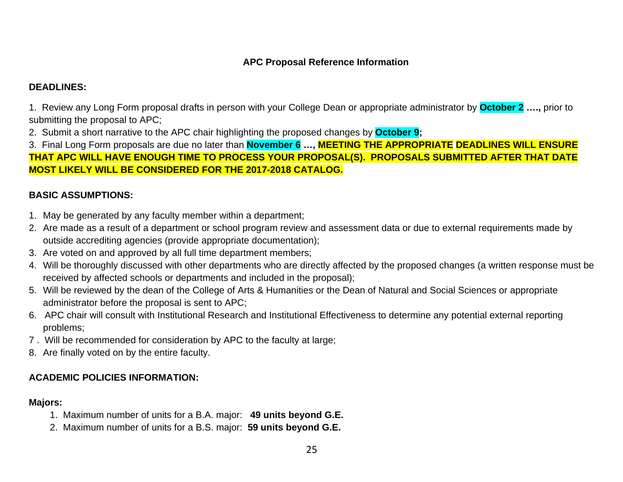# **APC Proposal Reference Information**

# **DEADLINES:**

1. Review any Long Form proposal drafts in person with your College Dean or appropriate administrator by **October 2 ….,** prior to submitting the proposal to APC;

2. Submit a short narrative to the APC chair highlighting the proposed changes by **October 9;** 

3. Final Long Form proposals are due no later than **November 6 …, MEETING THE APPROPRIATE DEADLINES WILL ENSURE THAT APC WILL HAVE ENOUGH TIME TO PROCESS YOUR PROPOSAL(S). PROPOSALS SUBMITTED AFTER THAT DATE MOST LIKELY WILL BE CONSIDERED FOR THE 2017-2018 CATALOG.** 

# **BASIC ASSUMPTIONS:**

- 1. May be generated by any faculty member within a department;
- 2. Are made as a result of a department or school program review and assessment data or due to external requirements made by outside accrediting agencies (provide appropriate documentation);
- 3. Are voted on and approved by all full time department members;
- 4. Will be thoroughly discussed with other departments who are directly affected by the proposed changes (a written response must be received by affected schools or departments and included in the proposal);
- 5. Will be reviewed by the dean of the College of Arts & Humanities or the Dean of Natural and Social Sciences or appropriate administrator before the proposal is sent to APC;
- 6. APC chair will consult with Institutional Research and Institutional Effectiveness to determine any potential external reporting problems;
- 7 . Will be recommended for consideration by APC to the faculty at large;
- 8. Are finally voted on by the entire faculty.

# **ACADEMIC POLICIES INFORMATION:**

## **Majors:**

- 1. Maximum number of units for a B.A. major: **49 units beyond G.E.**
- 2. Maximum number of units for a B.S. major: **59 units beyond G.E.**